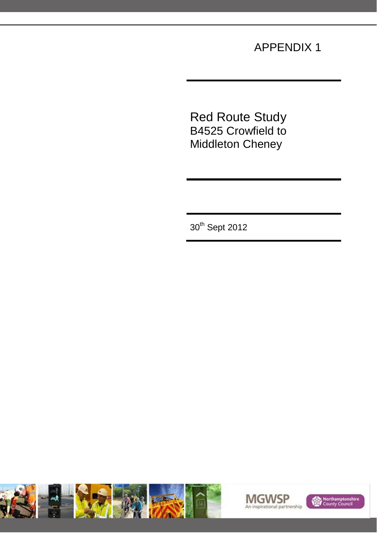### APPENDIX 1

Red Route Study B4525 Crowfield to Middleton Cheney

30<sup>th</sup> Sept 2012





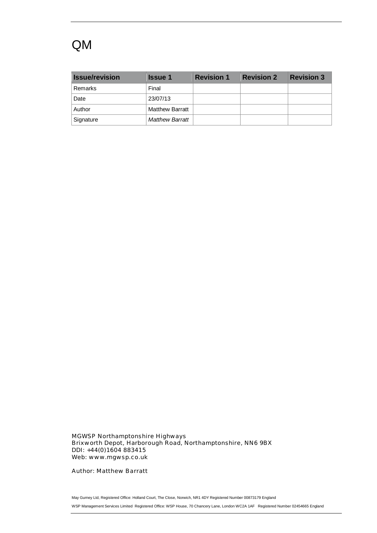## QM

| <b>Issue/revision</b> | <b>Issue 1</b>         | <b>Revision 1</b> | <b>Revision 2</b> | <b>Revision 3</b> |
|-----------------------|------------------------|-------------------|-------------------|-------------------|
| Remarks               | Final                  |                   |                   |                   |
| Date                  | 23/07/13               |                   |                   |                   |
| Author                | <b>Matthew Barratt</b> |                   |                   |                   |
| Signature             | <b>Matthew Barratt</b> |                   |                   |                   |

MGWSP Northamptonshire Highways Brixworth Depot, Harborough Road, Northamptonshire, NN6 9BX DDI: +44(0)1604 883415 Web: www.mgwsp.co.uk

Author: Matthew Barratt

May Gurney Ltd, Registered Office: Holland Court, The Close, Norwich, NR1 4DY Registered Number 00873179 England WSP Management Services Limited Registered Office: WSP House, 70 Chancery Lane, London WC2A 1AF Registered Number 02454665 England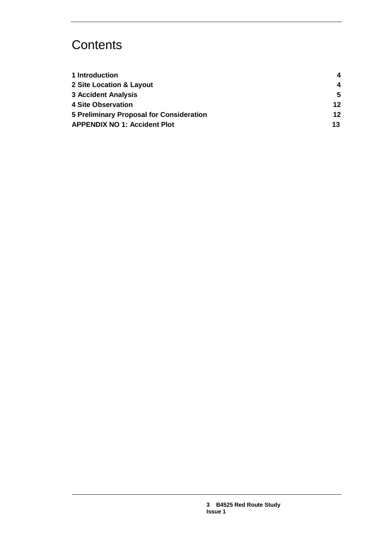# **Contents**

| 1 Introduction                           | 4  |
|------------------------------------------|----|
| 2 Site Location & Layout                 | 4  |
| <b>3 Accident Analysis</b>               | 5  |
| <b>4 Site Observation</b>                | 12 |
| 5 Preliminary Proposal for Consideration | 12 |
| <b>APPENDIX NO 1: Accident Plot</b>      | 13 |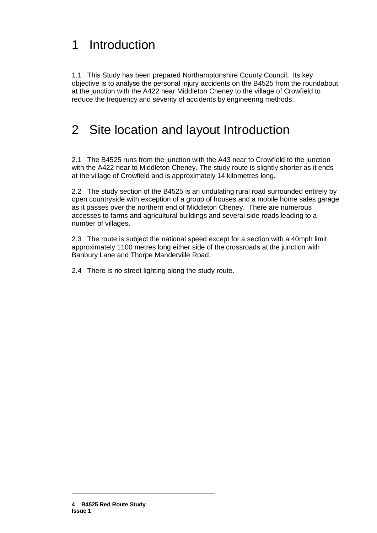# 1 Introduction

1.1 This Study has been prepared Northamptonshire County Council. Its key objective is to analyse the personal injury accidents on the B4525 from the roundabout at the junction with the A422 near Middleton Cheney to the village of Crowfield to reduce the frequency and severity of accidents by engineering methods.

## 2 Site location and layout Introduction

2.1 The B4525 runs from the junction with the A43 near to Crowfield to the junction with the A422 near to Middleton Cheney. The study route is slightly shorter as it ends at the village of Crowfield and is approximately 14 kilometres long.

2.2 The study section of the B4525 is an undulating rural road surrounded entirely by open countryside with exception of a group of houses and a mobile home sales garage as it passes over the northern end of Middleton Cheney. There are numerous accesses to farms and agricultural buildings and several side roads leading to a number of villages.

2.3 The route is subject the national speed except for a section with a 40mph limit approximately 1100 metres long either side of the crossroads at the junction with Banbury Lane and Thorpe Manderville Road.

2.4 There is no street lighting along the study route.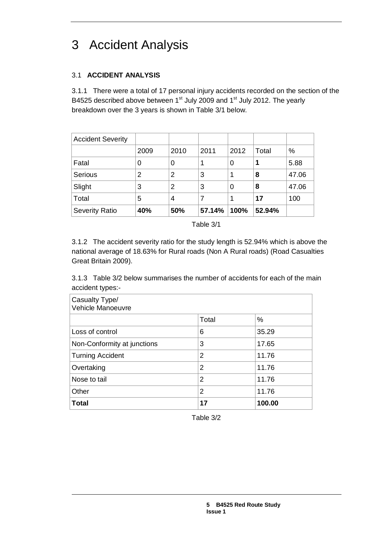# 3 Accident Analysis

### 3.1 **ACCIDENT ANALYSIS**

3.1.1 There were a total of 17 personal injury accidents recorded on the section of the B4525 described above between  $1<sup>st</sup>$  July 2009 and  $1<sup>st</sup>$  July 2012. The yearly breakdown over the 3 years is shown in Table 3/1 below.

| <b>Accident Severity</b> |      |      |        |      |        |       |
|--------------------------|------|------|--------|------|--------|-------|
|                          | 2009 | 2010 | 2011   | 2012 | Total  | %     |
| Fatal                    | 0    | 0    |        | 0    |        | 5.88  |
| Serious                  | 2    | 2    | 3      |      | 8      | 47.06 |
| Slight                   | 3    | 2    | 3      | 0    | 8      | 47.06 |
| Total                    | 5    | 4    |        |      | 17     | 100   |
| <b>Severity Ratio</b>    | 40%  | 50%  | 57.14% | 100% | 52.94% |       |

Table 3/1

3.1.2 The accident severity ratio for the study length is 52.94% which is above the national average of 18.63% for Rural roads (Non A Rural roads) (Road Casualties Great Britain 2009).

3.1.3 Table 3/2 below summarises the number of accidents for each of the main accident types:-

| Casualty Type/<br>Vehicle Manoeuvre |                |        |
|-------------------------------------|----------------|--------|
|                                     | Total          | %      |
| Loss of control                     | 6              | 35.29  |
| Non-Conformity at junctions         | 3              | 17.65  |
| <b>Turning Accident</b>             | $\overline{2}$ | 11.76  |
| Overtaking                          | $\overline{2}$ | 11.76  |
| Nose to tail                        | $\overline{2}$ | 11.76  |
| Other                               | 2              | 11.76  |
| <b>Total</b>                        | 17             | 100.00 |

Table 3/2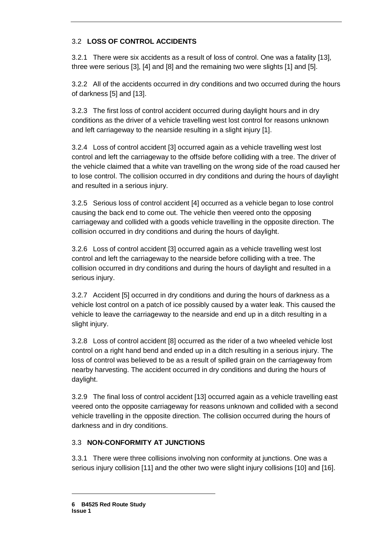### 3.2 **LOSS OF CONTROL ACCIDENTS**

3.2.1 There were six accidents as a result of loss of control. One was a fatality [13], three were serious [3], [4] and [8] and the remaining two were slights [1] and [5].

3.2.2 All of the accidents occurred in dry conditions and two occurred during the hours of darkness [5] and [13].

3.2.3 The first loss of control accident occurred during daylight hours and in dry conditions as the driver of a vehicle travelling west lost control for reasons unknown and left carriageway to the nearside resulting in a slight injury [1].

3.2.4 Loss of control accident [3] occurred again as a vehicle travelling west lost control and left the carriageway to the offside before colliding with a tree. The driver of the vehicle claimed that a white van travelling on the wrong side of the road caused her to lose control. The collision occurred in dry conditions and during the hours of daylight and resulted in a serious injury.

3.2.5 Serious loss of control accident [4] occurred as a vehicle began to lose control causing the back end to come out. The vehicle then veered onto the opposing carriageway and collided with a goods vehicle travelling in the opposite direction. The collision occurred in dry conditions and during the hours of daylight.

3.2.6 Loss of control accident [3] occurred again as a vehicle travelling west lost control and left the carriageway to the nearside before colliding with a tree. The collision occurred in dry conditions and during the hours of daylight and resulted in a serious injury.

3.2.7 Accident [5] occurred in dry conditions and during the hours of darkness as a vehicle lost control on a patch of ice possibly caused by a water leak. This caused the vehicle to leave the carriageway to the nearside and end up in a ditch resulting in a slight injury.

3.2.8 Loss of control accident [8] occurred as the rider of a two wheeled vehicle lost control on a right hand bend and ended up in a ditch resulting in a serious injury. The loss of control was believed to be as a result of spilled grain on the carriageway from nearby harvesting. The accident occurred in dry conditions and during the hours of daylight.

3.2.9 The final loss of control accident [13] occurred again as a vehicle travelling east veered onto the opposite carriageway for reasons unknown and collided with a second vehicle travelling in the opposite direction. The collision occurred during the hours of darkness and in dry conditions.

#### 3.3 **NON-CONFORMITY AT JUNCTIONS**

3.3.1 There were three collisions involving non conformity at junctions. One was a serious injury collision [11] and the other two were slight injury collisions [10] and [16].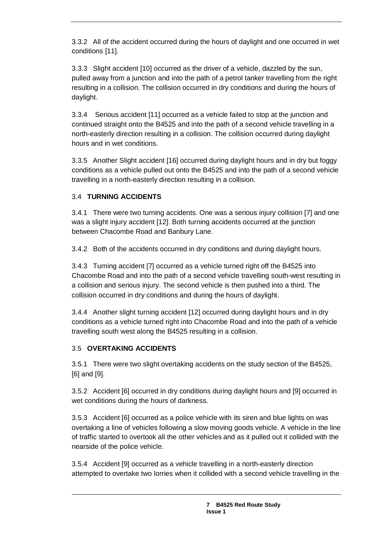3.3.2 All of the accident occurred during the hours of daylight and one occurred in wet conditions [11].

3.3.3 Slight accident [10] occurred as the driver of a vehicle, dazzled by the sun, pulled away from a junction and into the path of a petrol tanker travelling from the right resulting in a collision. The collision occurred in dry conditions and during the hours of daylight.

3.3.4 Serious accident [11] occurred as a vehicle failed to stop at the junction and continued straight onto the B4525 and into the path of a second vehicle travelling in a north-easterly direction resulting in a collision. The collision occurred during daylight hours and in wet conditions.

3.3.5 Another Slight accident [16] occurred during daylight hours and in dry but foggy conditions as a vehicle pulled out onto the B4525 and into the path of a second vehicle travelling in a north-easterly direction resulting in a collision.

### 3.4 **TURNING ACCIDENTS**

3.4.1 There were two turning accidents. One was a serious injury collision [7] and one was a slight injury accident [12]. Both turning accidents occurred at the junction between Chacombe Road and Banbury Lane.

3.4.2 Both of the accidents occurred in dry conditions and during daylight hours.

3.4.3 Turning accident [7] occurred as a vehicle turned right off the B4525 into Chacombe Road and into the path of a second vehicle travelling south-west resulting in a collision and serious injury. The second vehicle is then pushed into a third. The collision occurred in dry conditions and during the hours of daylight.

3.4.4 Another slight turning accident [12] occurred during daylight hours and in dry conditions as a vehicle turned right into Chacombe Road and into the path of a vehicle travelling south west along the B4525 resulting in a collision.

#### 3.5 **OVERTAKING ACCIDENTS**

3.5.1 There were two slight overtaking accidents on the study section of the B4525, [6] and [9].

3.5.2 Accident [6] occurred in dry conditions during daylight hours and [9] occurred in wet conditions during the hours of darkness.

3.5.3 Accident [6] occurred as a police vehicle with its siren and blue lights on was overtaking a line of vehicles following a slow moving goods vehicle. A vehicle in the line of traffic started to overtook all the other vehicles and as it pulled out it collided with the nearside of the police vehicle.

3.5.4 Accident [9] occurred as a vehicle travelling in a north-easterly direction attempted to overtake two lorries when it collided with a second vehicle travelling in the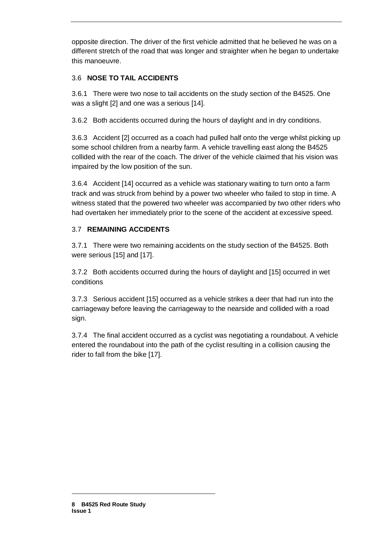opposite direction. The driver of the first vehicle admitted that he believed he was on a different stretch of the road that was longer and straighter when he began to undertake this manoeuvre.

#### 3.6 **NOSE TO TAIL ACCIDENTS**

3.6.1 There were two nose to tail accidents on the study section of the B4525. One was a slight [2] and one was a serious [14].

3.6.2 Both accidents occurred during the hours of daylight and in dry conditions.

3.6.3 Accident [2] occurred as a coach had pulled half onto the verge whilst picking up some school children from a nearby farm. A vehicle travelling east along the B4525 collided with the rear of the coach. The driver of the vehicle claimed that his vision was impaired by the low position of the sun.

3.6.4 Accident [14] occurred as a vehicle was stationary waiting to turn onto a farm track and was struck from behind by a power two wheeler who failed to stop in time. A witness stated that the powered two wheeler was accompanied by two other riders who had overtaken her immediately prior to the scene of the accident at excessive speed.

#### 3.7 **REMAINING ACCIDENTS**

3.7.1 There were two remaining accidents on the study section of the B4525. Both were serious [15] and [17].

3.7.2 Both accidents occurred during the hours of daylight and [15] occurred in wet conditions

3.7.3 Serious accident [15] occurred as a vehicle strikes a deer that had run into the carriageway before leaving the carriageway to the nearside and collided with a road sign.

3.7.4 The final accident occurred as a cyclist was negotiating a roundabout. A vehicle entered the roundabout into the path of the cyclist resulting in a collision causing the rider to fall from the bike [17].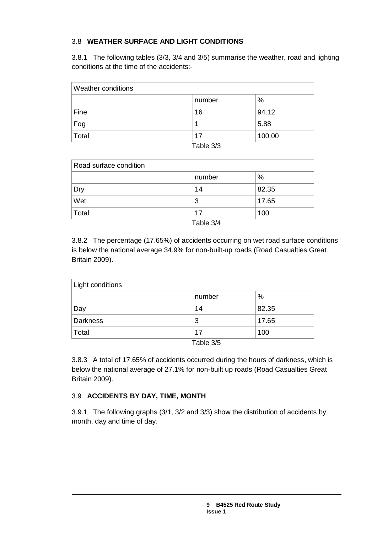### 3.8 **WEATHER SURFACE AND LIGHT CONDITIONS**

3.8.1 The following tables (3/3, 3/4 and 3/5) summarise the weather, road and lighting conditions at the time of the accidents:-

| number | $\%$               |
|--------|--------------------|
| 16     | 94.12              |
|        | 5.88               |
| 17     | 100.00             |
|        | $\sim$ $\sim$<br>— |

| Table 3/3 |  |
|-----------|--|
|-----------|--|

| Road surface condition |               |       |  |
|------------------------|---------------|-------|--|
|                        | number        | $\%$  |  |
| Dry                    | 14            | 82.35 |  |
| Wet                    | 3             | 17.65 |  |
| Total                  | 17            | 100   |  |
|                        | $T - L = 0/4$ |       |  |

Table 3/4

3.8.2 The percentage (17.65%) of accidents occurring on wet road surface conditions is below the national average 34.9% for non-built-up roads (Road Casualties Great Britain 2009).

| Light conditions |                 |       |  |
|------------------|-----------------|-------|--|
|                  | number          | $\%$  |  |
| Day              | 14              | 82.35 |  |
| Darkness         | 3               | 17.65 |  |
| Total            | 17              | 100   |  |
|                  | $T_0$ blo $2/E$ |       |  |

Table 3/5

3.8.3 A total of 17.65% of accidents occurred during the hours of darkness, which is below the national average of 27.1% for non-built up roads (Road Casualties Great Britain 2009).

#### 3.9 **ACCIDENTS BY DAY, TIME, MONTH**

3.9.1 The following graphs (3/1, 3/2 and 3/3) show the distribution of accidents by month, day and time of day.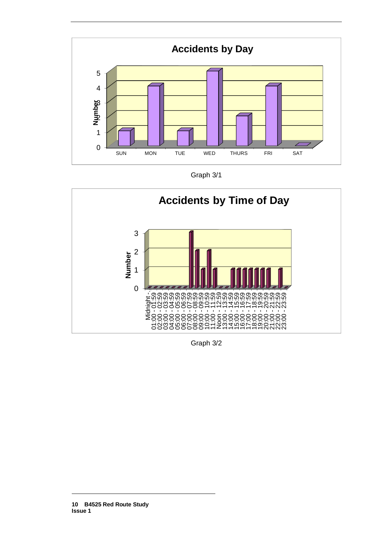

Graph 3/1



Graph 3/2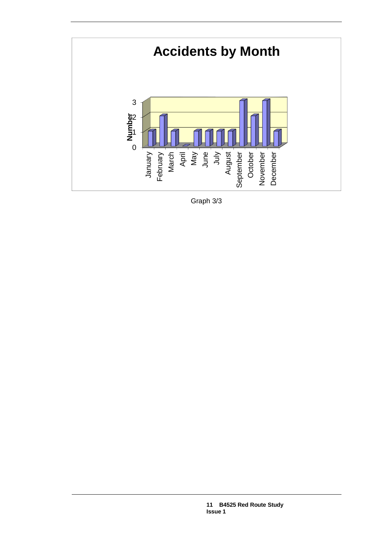

Graph 3/3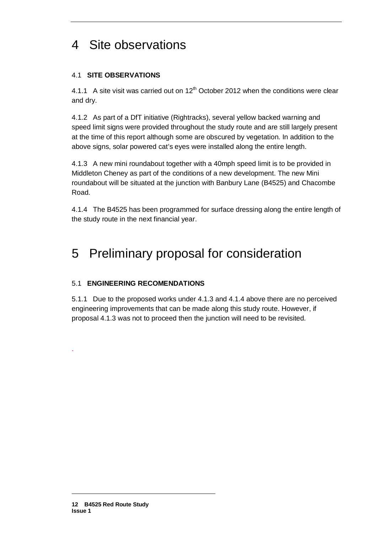# 4 Site observations

#### 4.1 **SITE OBSERVATIONS**

4.1.1 A site visit was carried out on  $12<sup>th</sup>$  October 2012 when the conditions were clear and dry.

4.1.2 As part of a DfT initiative (Rightracks), several yellow backed warning and speed limit signs were provided throughout the study route and are still largely present at the time of this report although some are obscured by vegetation. In addition to the above signs, solar powered cat's eyes were installed along the entire length.

4.1.3 A new mini roundabout together with a 40mph speed limit is to be provided in Middleton Cheney as part of the conditions of a new development. The new Mini roundabout will be situated at the junction with Banbury Lane (B4525) and Chacombe Road.

4.1.4 The B4525 has been programmed for surface dressing along the entire length of the study route in the next financial year.

## 5 Preliminary proposal for consideration

#### 5.1 **ENGINEERING RECOMENDATIONS**

5.1.1 Due to the proposed works under 4.1.3 and 4.1.4 above there are no perceived engineering improvements that can be made along this study route. However, if proposal 4.1.3 was not to proceed then the junction will need to be revisited.

.